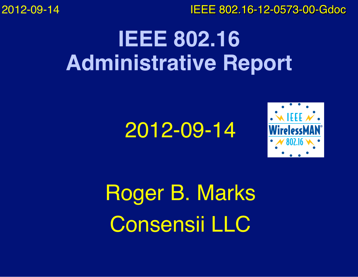2012-09-14

IEEE 802.16-12-0573-00-Gdoc

### **IEEE 802.16 Administrative Report**

#### 2012-09-14



Roger B. Marks Consensii LLC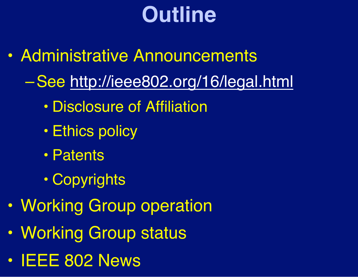# **Outline**

- Administrative Announcements
	- –See http://ieee802.org/16/legal.html
		- Disclosure of Affiliation
		- Ethics policy
		- Patents
		- Copyrights
- Working Group operation
- Working Group status
- **IEEE 802 News**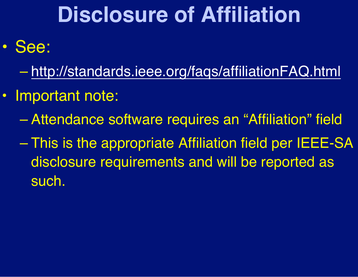### **Disclosure of Affiliation**

- See:
	- http://standards.ieee.org/faqs/affiliationFAQ.html
- Important note:
	- Attendance software requires an "Affiliation" field
	- This is the appropriate Affiliation field per IEEE-SA disclosure requirements and will be reported as such.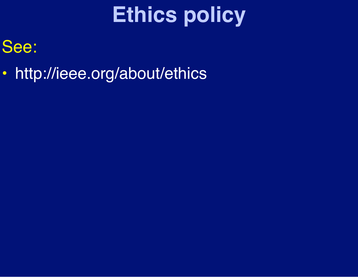# **Ethics policy**

#### See:

• http://ieee.org/about/ethics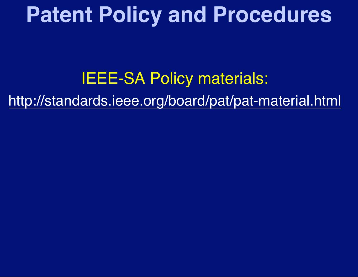#### **Patent Policy and Procedures**

#### IEEE-SA Policy materials:

http://standards.ieee.org/board/pat/pat-material.html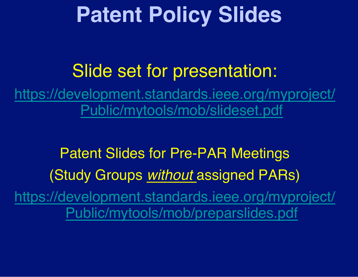### **Patent Policy Slides**

#### Slide set for presentation:

https://development.standards.ieee.org/myproject/ Public/mytools/mob/slideset.pdf

Patent Slides for Pre-PAR Meetings (Study Groups *without* assigned PARs) https://development.standards.ieee.org/myproject/ Public/mytools/mob/preparslides.pdf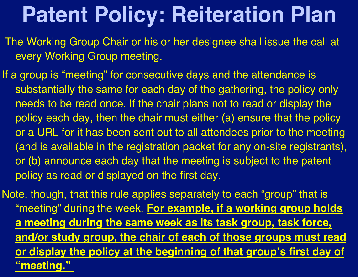## **Patent Policy: Reiteration Plan**

- The Working Group Chair or his or her designee shall issue the call at every Working Group meeting.
- If a group is "meeting" for consecutive days and the attendance is substantially the same for each day of the gathering, the policy only needs to be read once. If the chair plans not to read or display the policy each day, then the chair must either (a) ensure that the policy or a URL for it has been sent out to all attendees prior to the meeting (and is available in the registration packet for any on-site registrants), or (b) announce each day that the meeting is subject to the patent policy as read or displayed on the first day.
- Note, though, that this rule applies separately to each "group" that is "meeting" during the week. **For example, if a working group holds a meeting during the same week as its task group, task force, and/or study group, the chair of each of those groups must read or display the policy at the beginning of that group's first day of "meeting."**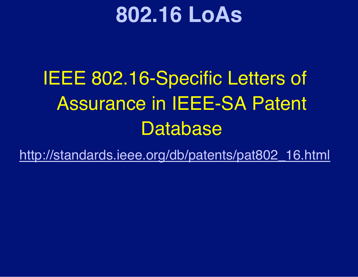#### **802.16 LoAs**

#### IEEE 802.16-Specific Letters of Assurance in IEEE-SA Patent **Database**

http://standards.ieee.org/db/patents/pat802\_16.html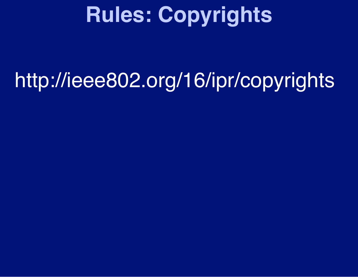# **Rules: Copyrights**

## http://ieee802.org/16/ipr/copyrights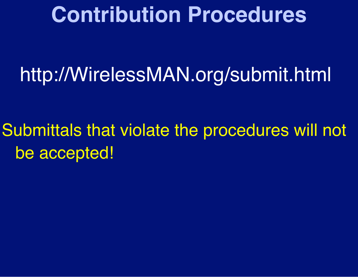#### **Contribution Procedures**

#### http://WirelessMAN.org/submit.html

Submittals that violate the procedures will not be accepted!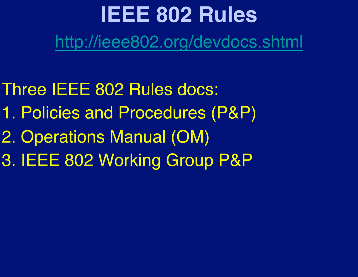#### **IEEE 802 Rules** http://ieee802.org/devdocs.shtml

- Three IEEE 802 Rules docs:
- 1. Policies and Procedures (P&P)
- 2. Operations Manual (OM)
- 3. IEEE 802 Working Group P&P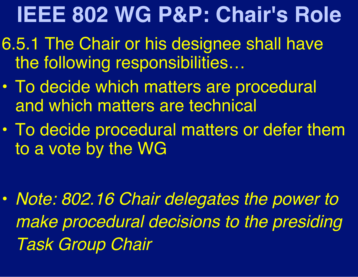# **IEEE 802 WG P&P: Chair's Role**

- 6.5.1 The Chair or his designee shall have the following responsibilities…
- To decide which matters are procedural and which matters are technical
- To decide procedural matters or defer them to a vote by the WG

• *Note: 802.16 Chair delegates the power to make procedural decisions to the presiding Task Group Chair*